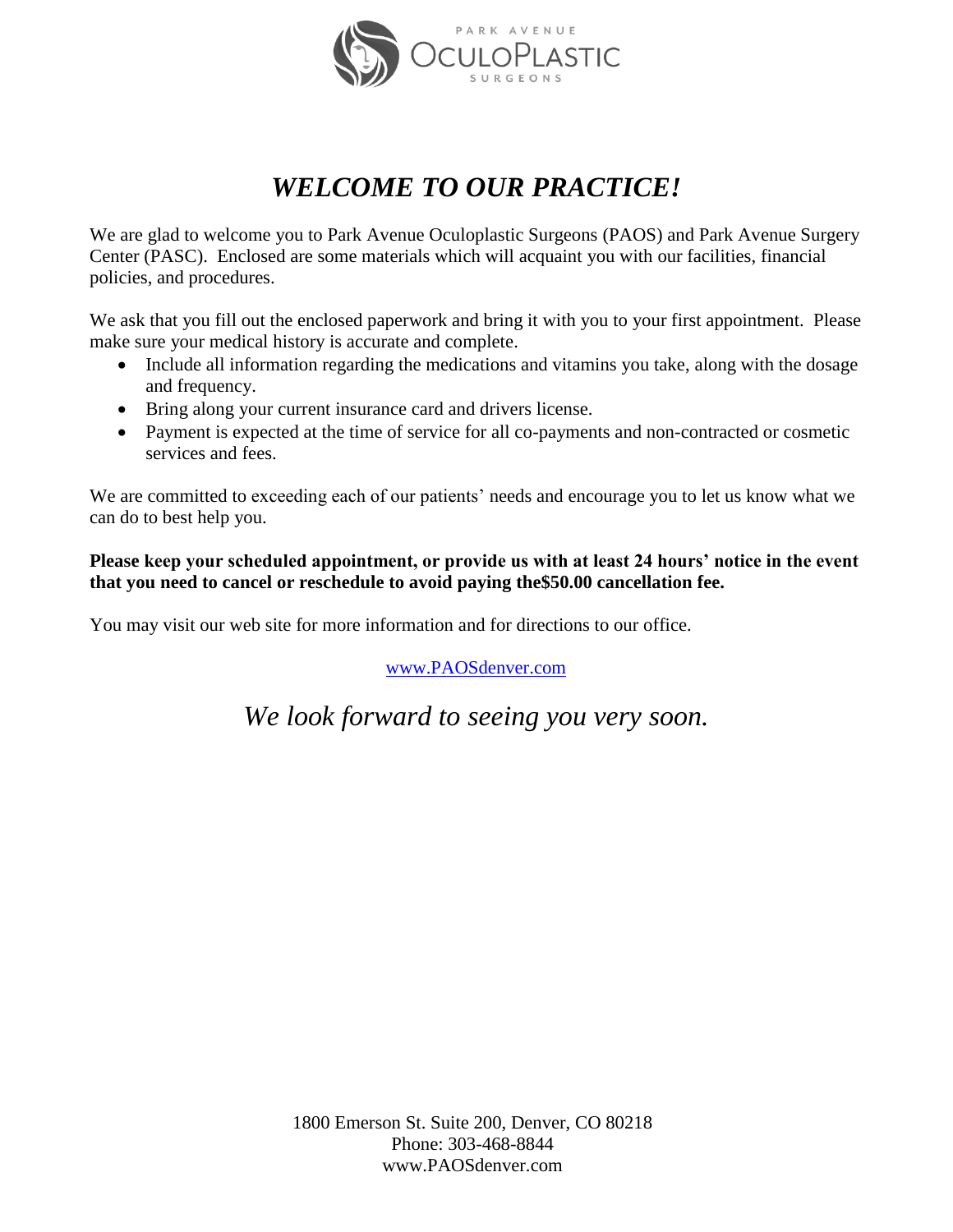

# *WELCOME TO OUR PRACTICE!*

We are glad to welcome you to Park Avenue Oculoplastic Surgeons (PAOS) and Park Avenue Surgery Center (PASC). Enclosed are some materials which will acquaint you with our facilities, financial policies, and procedures.

We ask that you fill out the enclosed paperwork and bring it with you to your first appointment. Please make sure your medical history is accurate and complete.

- Include all information regarding the medications and vitamins you take, along with the dosage and frequency.
- Bring along your current insurance card and drivers license.
- Payment is expected at the time of service for all co-payments and non-contracted or cosmetic services and fees.

We are committed to exceeding each of our patients' needs and encourage you to let us know what we can do to best help you.

### **Please keep your scheduled appointment, or provide us with at least 24 hours' notice in the event that you need to cancel or reschedule to avoid paying the\$50.00 cancellation fee.**

You may visit our web site for more information and for directions to our office.

[www.PAOSdenver.com](http://www.paosdenver.com/)

*We look forward to seeing you very soon.*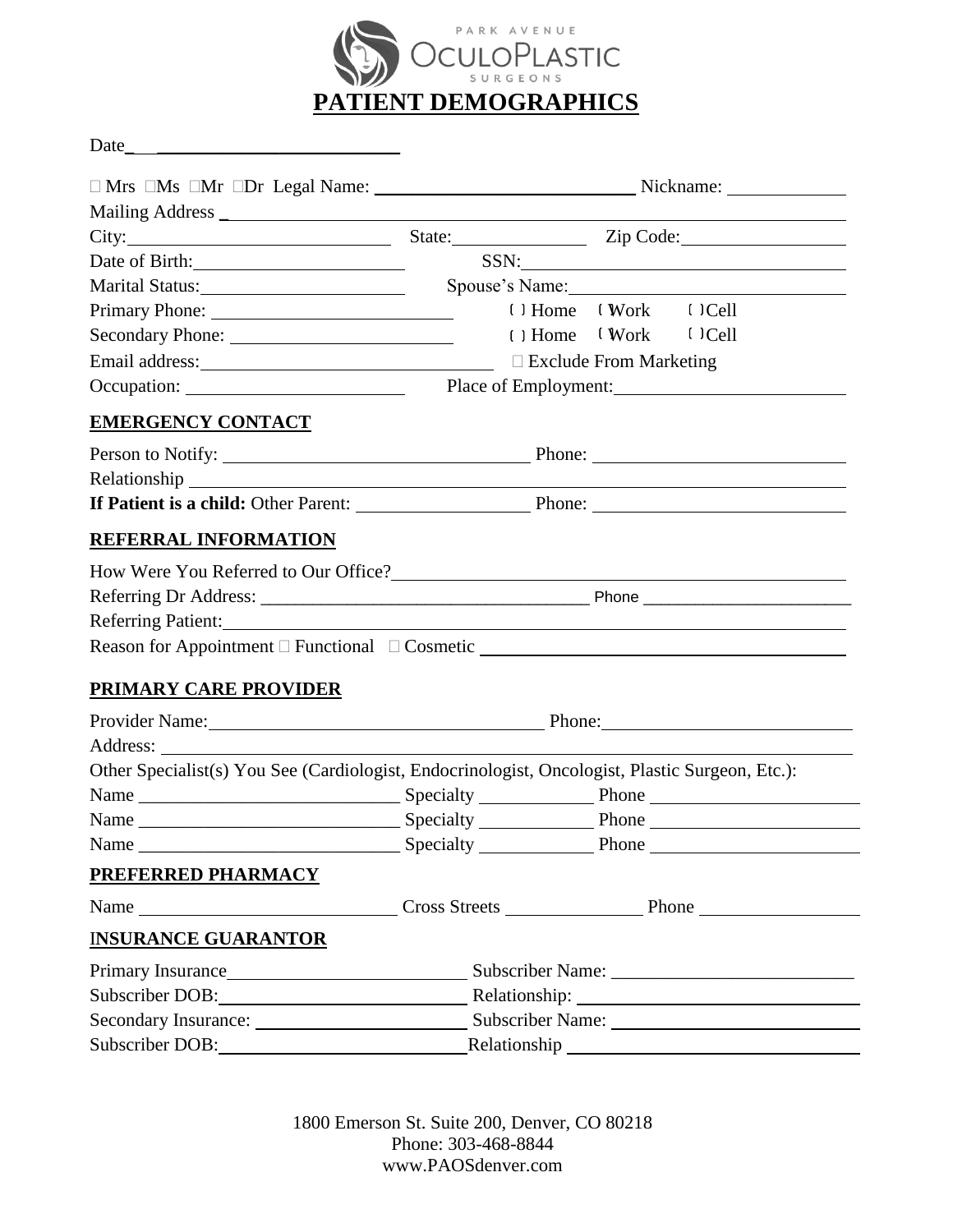

Date\_ \_\_\_\_\_\_\_\_\_\_\_\_\_\_\_\_\_\_\_\_\_\_\_\_\_\_

| $\text{City:}\_$                                                                                                                                                                                                                     |                                                                            | State: <u>Zip Code:</u>           |  |
|--------------------------------------------------------------------------------------------------------------------------------------------------------------------------------------------------------------------------------------|----------------------------------------------------------------------------|-----------------------------------|--|
|                                                                                                                                                                                                                                      |                                                                            | $SSN: \underline{\hspace{2.5cm}}$ |  |
| Marital Status: <u>and a status</u>                                                                                                                                                                                                  |                                                                            | Spouse's Name:                    |  |
|                                                                                                                                                                                                                                      |                                                                            | () Home (Work () Cell             |  |
|                                                                                                                                                                                                                                      |                                                                            | $( )$ Home $(Work$ $()$ Cell      |  |
|                                                                                                                                                                                                                                      |                                                                            |                                   |  |
|                                                                                                                                                                                                                                      |                                                                            |                                   |  |
| EMERGENCY CONTACT                                                                                                                                                                                                                    |                                                                            |                                   |  |
|                                                                                                                                                                                                                                      |                                                                            |                                   |  |
|                                                                                                                                                                                                                                      |                                                                            |                                   |  |
|                                                                                                                                                                                                                                      |                                                                            |                                   |  |
| <u>REFERRAL INFORMATION</u>                                                                                                                                                                                                          |                                                                            |                                   |  |
| How Were You Referred to Our Office?                                                                                                                                                                                                 |                                                                            |                                   |  |
|                                                                                                                                                                                                                                      |                                                                            |                                   |  |
|                                                                                                                                                                                                                                      |                                                                            |                                   |  |
| Reason for Appointment D Functional D Cosmetic <u>Constantine Constantine Constantine Constantine Constantine Constantine Constantine Constantine Constantine Constantine Constantine Constantine Constantine Constantine Consta</u> |                                                                            |                                   |  |
| <u>PRIMARY CARE PROVIDER</u>                                                                                                                                                                                                         |                                                                            |                                   |  |
|                                                                                                                                                                                                                                      |                                                                            |                                   |  |
| Provider Name: Phone: Phone: Phone:                                                                                                                                                                                                  |                                                                            |                                   |  |
|                                                                                                                                                                                                                                      |                                                                            |                                   |  |
| Other Specialist(s) You See (Cardiologist, Endocrinologist, Oncologist, Plastic Surgeon, Etc.):                                                                                                                                      |                                                                            |                                   |  |
|                                                                                                                                                                                                                                      |                                                                            |                                   |  |
|                                                                                                                                                                                                                                      |                                                                            |                                   |  |
|                                                                                                                                                                                                                                      |                                                                            |                                   |  |
| PREFERRED PHARMACY                                                                                                                                                                                                                   |                                                                            |                                   |  |
|                                                                                                                                                                                                                                      |                                                                            |                                   |  |
| <u>INSURANCE GUARANTOR</u>                                                                                                                                                                                                           |                                                                            |                                   |  |
|                                                                                                                                                                                                                                      | Primary Insurance <u> <b>Exercise</b></u> Subscriber Name: Subscriber 2014 |                                   |  |
| Subscriber DOB: Value of the Contract of the Contract of the Contract of the Contract of the Contract of the Contract of the Contract of the Contract of the Contract of the Contract of the Contract of the Contract of the C       |                                                                            |                                   |  |
|                                                                                                                                                                                                                                      |                                                                            |                                   |  |
| Subscriber DOB: Value of the Subscriber DOB:                                                                                                                                                                                         |                                                                            |                                   |  |

1800 Emerson St. Suite 200, Denver, CO 80218 Phone: 303-468-8844 www.PAOSdenver.com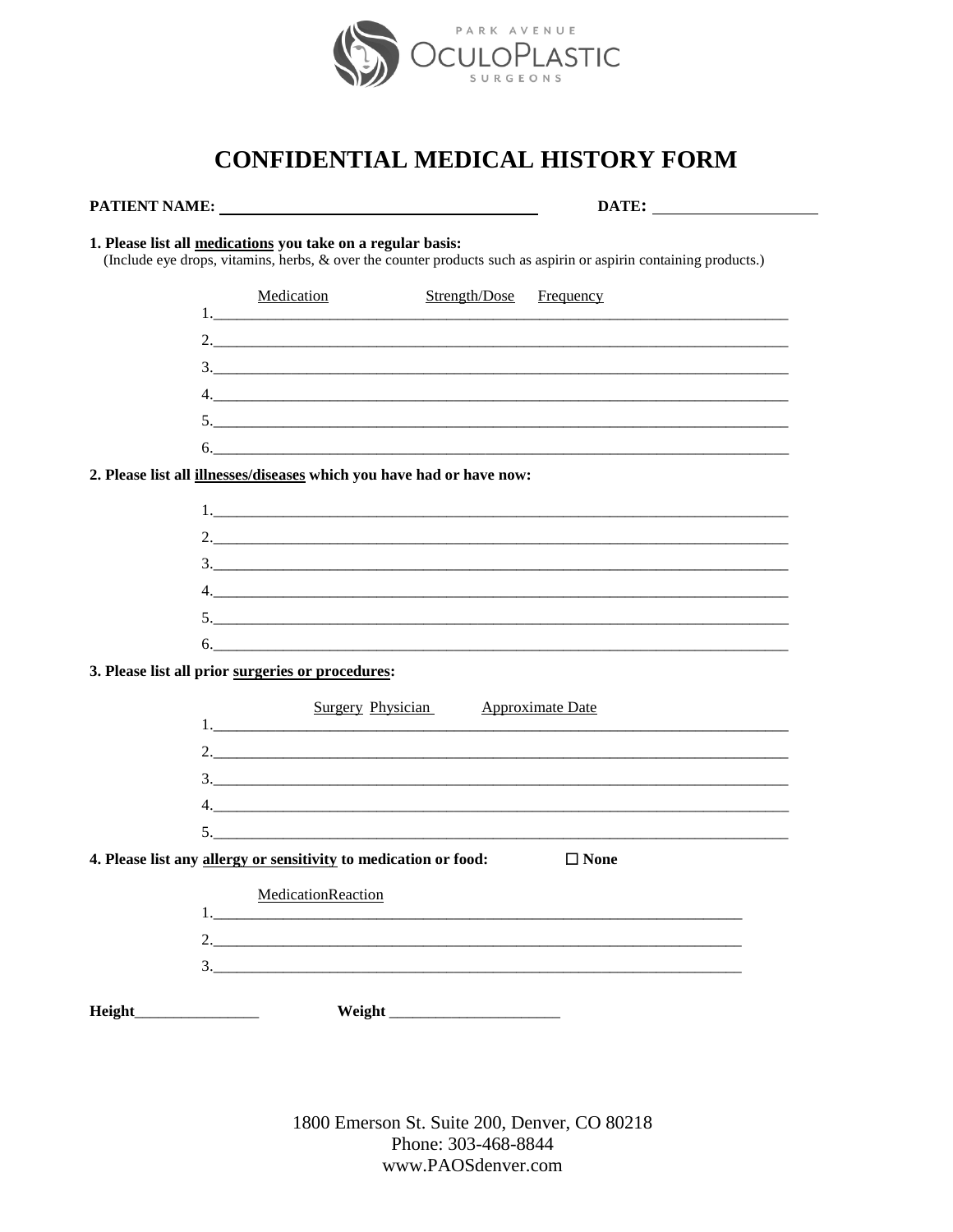

# **CONFIDENTIAL MEDICAL HISTORY FORM**

#### 1. Please list all medications you take on a regular basis:

(Include eye drops, vitamins, herbs, & over the counter products such as aspirin or aspirin containing products.)

|                                                                              | Medication | Strength/Dose | Frequency |  |
|------------------------------------------------------------------------------|------------|---------------|-----------|--|
|                                                                              |            |               |           |  |
|                                                                              |            |               |           |  |
| $\mathfrak{Z}$ .                                                             |            |               |           |  |
|                                                                              |            |               |           |  |
|                                                                              |            |               |           |  |
|                                                                              | 6.         |               |           |  |
| 2. Please list all <i>illnesses/diseases</i> which you have had or have now: |            |               |           |  |
|                                                                              |            |               |           |  |

| $\begin{array}{c} 3. \end{array}$                                                                                                                                                                                                                                                                                                                                                                                                                                                                   |  |  |
|-----------------------------------------------------------------------------------------------------------------------------------------------------------------------------------------------------------------------------------------------------------------------------------------------------------------------------------------------------------------------------------------------------------------------------------------------------------------------------------------------------|--|--|
| $\begin{array}{c} \n4. \quad \textcolor{blue}{\textbf{12.12}} \quad \textcolor{blue}{\textbf{13.13}} \quad \textcolor{blue}{\textbf{14.13}} \quad \textcolor{blue}{\textbf{15.13}} \quad \textcolor{blue}{\textbf{16.13}} \quad \textcolor{blue}{\textbf{17.13}} \quad \textcolor{blue}{\textbf{18.13}} \quad \textcolor{blue}{\textbf{19.13}} \quad \textcolor{blue}{\textbf{19.13}} \quad \textcolor{blue}{\textbf{19.13}} \quad \textcolor{blue}{\textbf{19.13}} \quad \textcolor{blue}{\textbf$ |  |  |
|                                                                                                                                                                                                                                                                                                                                                                                                                                                                                                     |  |  |
| $\begin{array}{c}\n5.\n\end{array}$                                                                                                                                                                                                                                                                                                                                                                                                                                                                 |  |  |
|                                                                                                                                                                                                                                                                                                                                                                                                                                                                                                     |  |  |

#### 3. Please list all prior surgeries or procedures:

|                                                                                 | Surgery Physician Approximate Date                                                                                                                                                                                                                                                                                     |  |  |  |
|---------------------------------------------------------------------------------|------------------------------------------------------------------------------------------------------------------------------------------------------------------------------------------------------------------------------------------------------------------------------------------------------------------------|--|--|--|
|                                                                                 |                                                                                                                                                                                                                                                                                                                        |  |  |  |
|                                                                                 | 2. $\frac{1}{2}$ $\frac{1}{2}$ $\frac{1}{2}$ $\frac{1}{2}$ $\frac{1}{2}$ $\frac{1}{2}$ $\frac{1}{2}$ $\frac{1}{2}$ $\frac{1}{2}$ $\frac{1}{2}$ $\frac{1}{2}$ $\frac{1}{2}$ $\frac{1}{2}$ $\frac{1}{2}$ $\frac{1}{2}$ $\frac{1}{2}$ $\frac{1}{2}$ $\frac{1}{2}$ $\frac{1}{2}$ $\frac{1}{2}$ $\frac{1}{2}$ $\frac{1}{2}$ |  |  |  |
|                                                                                 |                                                                                                                                                                                                                                                                                                                        |  |  |  |
|                                                                                 |                                                                                                                                                                                                                                                                                                                        |  |  |  |
|                                                                                 | $5.$ $\overline{\phantom{a}}$                                                                                                                                                                                                                                                                                          |  |  |  |
| 4. Please list any allergy or sensitivity to medication or food:<br>$\Box$ None |                                                                                                                                                                                                                                                                                                                        |  |  |  |
|                                                                                 | MedicationReaction                                                                                                                                                                                                                                                                                                     |  |  |  |
|                                                                                 |                                                                                                                                                                                                                                                                                                                        |  |  |  |
|                                                                                 |                                                                                                                                                                                                                                                                                                                        |  |  |  |
|                                                                                 |                                                                                                                                                                                                                                                                                                                        |  |  |  |
| <b>Height</b>                                                                   |                                                                                                                                                                                                                                                                                                                        |  |  |  |

1800 Emerson St. Suite 200, Denver, CO 80218 Phone: 303-468-8844 www.PAOSdenver.com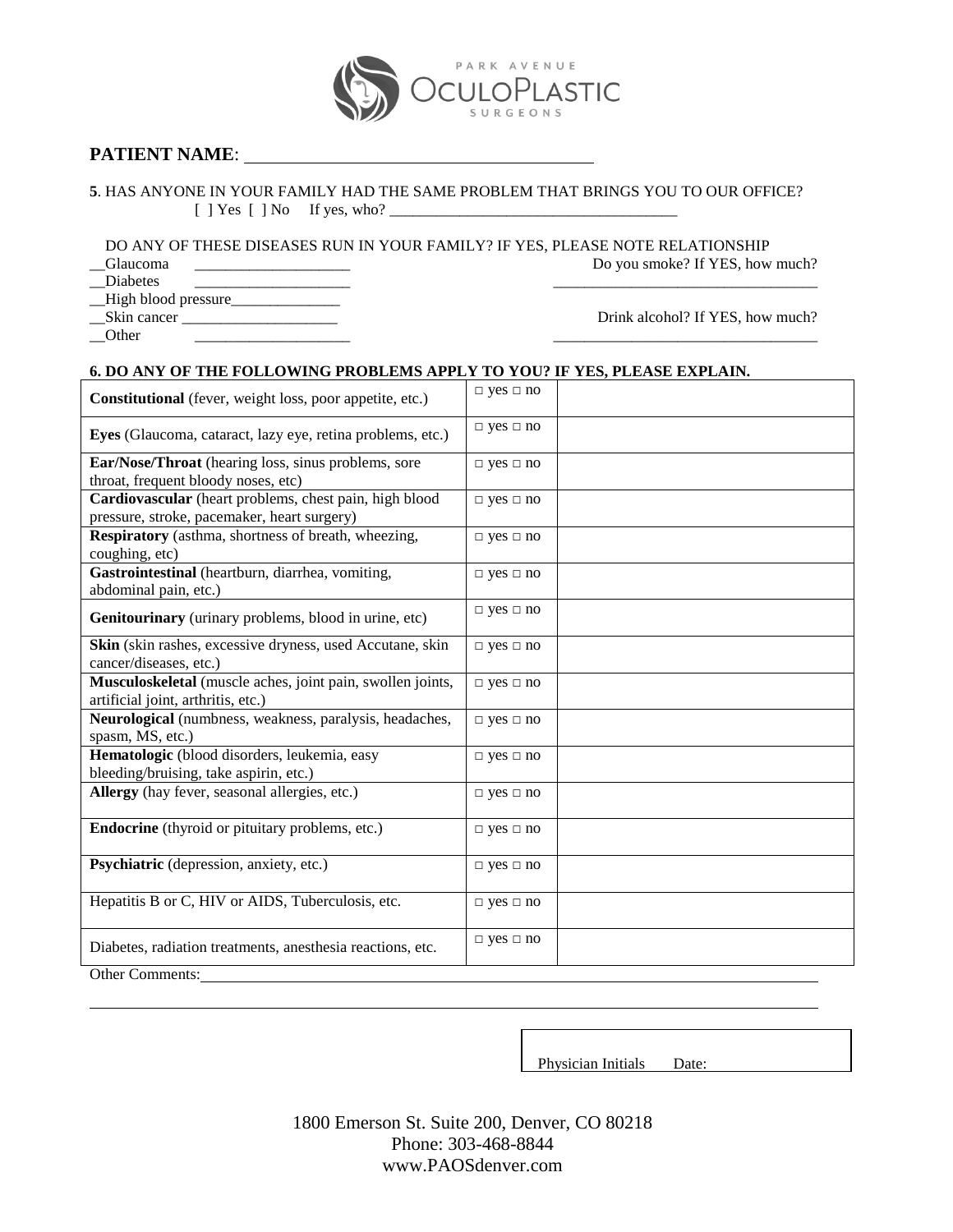# PARK AVENUE ASTIC

### **PATIENT NAME**:

**5**. HAS ANYONE IN YOUR FAMILY HAD THE SAME PROBLEM THAT BRINGS YOU TO OUR OFFICE? [ ] Yes [ ] No If yes, who? \_\_\_\_\_\_\_\_\_\_\_\_\_\_\_\_\_\_\_\_\_\_\_\_\_\_\_\_\_\_\_\_\_\_\_\_\_

DO ANY OF THESE DISEASES RUN IN YOUR FAMILY? IF YES, PLEASE NOTE RELATIONSHIP<br>Do you smoke? If YES, how

\_\_Diabetes \_\_\_\_\_\_\_\_\_\_\_\_\_\_\_\_\_\_\_\_ \_\_\_\_\_\_\_\_\_\_\_\_\_\_\_\_\_\_\_\_\_\_\_\_\_\_\_\_\_\_\_\_\_\_ \_\_High blood pressure\_\_\_\_\_\_\_\_\_\_\_\_\_\_

\_\_Other \_\_\_\_\_\_\_\_\_\_\_\_\_\_\_\_\_\_\_\_ \_\_\_\_\_\_\_\_\_\_\_\_\_\_\_\_\_\_\_\_\_\_\_\_\_\_\_\_\_\_\_\_\_\_

\_\_Skin cancer \_\_\_\_\_\_\_\_\_\_\_\_\_\_\_\_\_\_\_\_ Drink alcohol? If YES, how much?

Do you smoke? If YES, how much?

#### **6. DO ANY OF THE FOLLOWING PROBLEMS APPLY TO YOU? IF YES, PLEASE EXPLAIN.**

| Constitutional (fever, weight loss, poor appetite, etc.)                                              | $\Box$ yes $\Box$ no |
|-------------------------------------------------------------------------------------------------------|----------------------|
| Eyes (Glaucoma, cataract, lazy eye, retina problems, etc.)                                            | $\Box$ yes $\Box$ no |
| Ear/Nose/Throat (hearing loss, sinus problems, sore<br>throat, frequent bloody noses, etc)            | $\Box$ yes $\Box$ no |
| Cardiovascular (heart problems, chest pain, high blood<br>pressure, stroke, pacemaker, heart surgery) | $\Box$ yes $\Box$ no |
| Respiratory (asthma, shortness of breath, wheezing,<br>coughing, etc)                                 | $\Box$ yes $\Box$ no |
| Gastrointestinal (heartburn, diarrhea, vomiting,<br>abdominal pain, etc.)                             | $\Box$ yes $\Box$ no |
| Genitourinary (urinary problems, blood in urine, etc)                                                 | $\Box$ yes $\Box$ no |
| Skin (skin rashes, excessive dryness, used Accutane, skin<br>cancer/diseases, etc.)                   | $\Box$ yes $\Box$ no |
| Musculoskeletal (muscle aches, joint pain, swollen joints,<br>artificial joint, arthritis, etc.)      | $\Box$ yes $\Box$ no |
| Neurological (numbness, weakness, paralysis, headaches,<br>spasm, MS, etc.)                           | $\Box$ yes $\Box$ no |
| Hematologic (blood disorders, leukemia, easy<br>bleeding/bruising, take aspirin, etc.)                | $\Box$ yes $\Box$ no |
| Allergy (hay fever, seasonal allergies, etc.)                                                         | $\Box$ yes $\Box$ no |
| <b>Endocrine</b> (thyroid or pituitary problems, etc.)                                                | $\Box$ yes $\Box$ no |
| Psychiatric (depression, anxiety, etc.)                                                               | $\Box$ yes $\Box$ no |
| Hepatitis B or C, HIV or AIDS, Tuberculosis, etc.                                                     | $\Box$ yes $\Box$ no |
| Diabetes, radiation treatments, anesthesia reactions, etc.                                            | $\Box$ yes $\Box$ no |
| Other Comments:                                                                                       |                      |

Physician Initials Date:

1800 Emerson St. Suite 200, Denver, CO 80218 Phone: 303-468-8844 www.PAOSdenver.com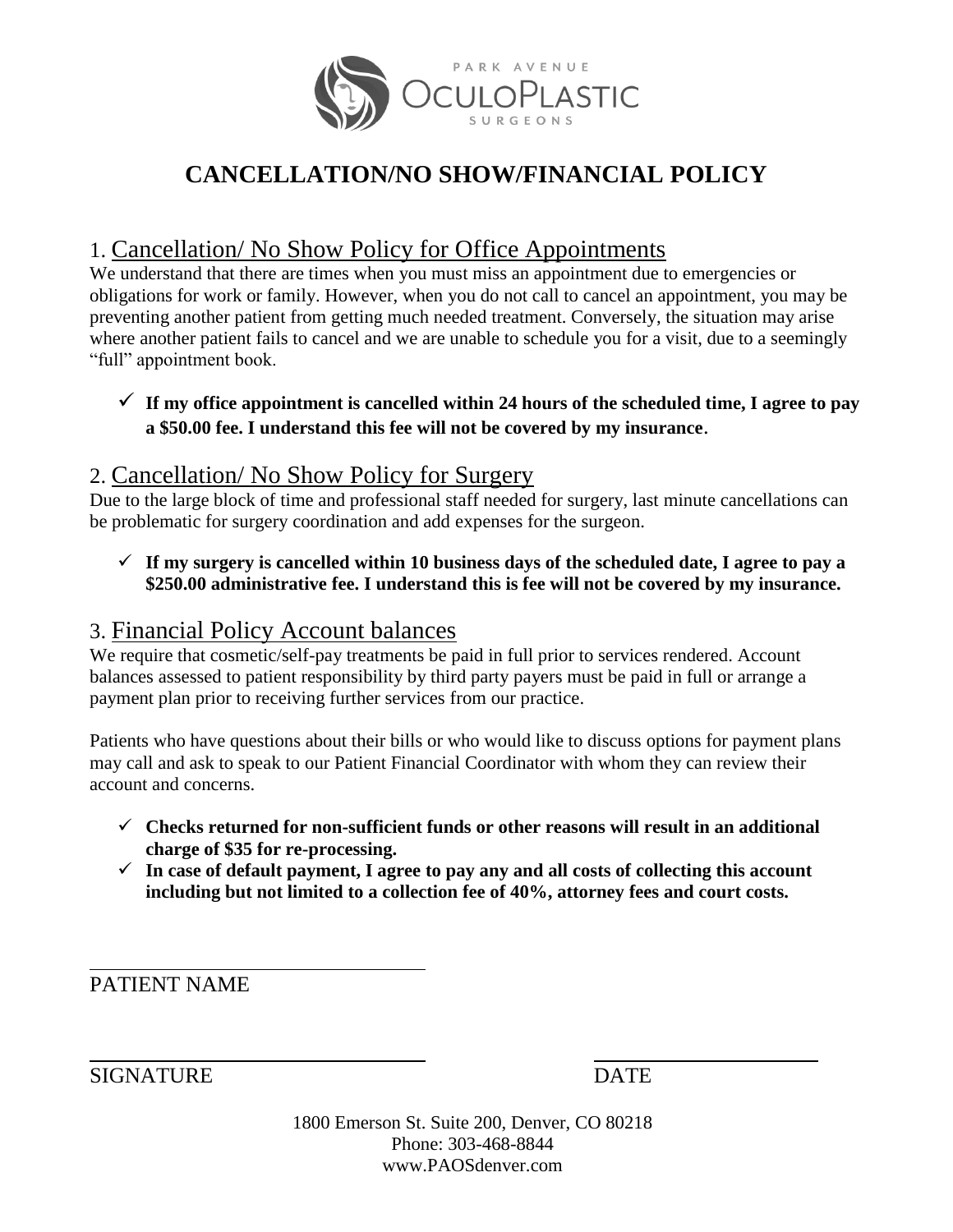

# **CANCELLATION/NO SHOW/FINANCIAL POLICY**

# 1. Cancellation/ No Show Policy for Office Appointments

We understand that there are times when you must miss an appointment due to emergencies or obligations for work or family. However, when you do not call to cancel an appointment, you may be preventing another patient from getting much needed treatment. Conversely, the situation may arise where another patient fails to cancel and we are unable to schedule you for a visit, due to a seemingly "full" appointment book.

## $\checkmark$  If my office appointment is cancelled within 24 hours of the scheduled time, I agree to pay **a \$50.00 fee. I understand this fee will not be covered by my insurance**.

## 2. Cancellation/ No Show Policy for Surgery

Due to the large block of time and professional staff needed for surgery, last minute cancellations can be problematic for surgery coordination and add expenses for the surgeon.

 $\checkmark$  If my surgery is cancelled within 10 business days of the scheduled date, I agree to pay a **\$250.00 administrative fee. I understand this is fee will not be covered by my insurance.**

# 3. Financial Policy Account balances

We require that cosmetic/self-pay treatments be paid in full prior to services rendered. Account balances assessed to patient responsibility by third party payers must be paid in full or arrange a payment plan prior to receiving further services from our practice.

Patients who have questions about their bills or who would like to discuss options for payment plans may call and ask to speak to our Patient Financial Coordinator with whom they can review their account and concerns.

- **Checks returned for non-sufficient funds or other reasons will result in an additional charge of \$35 for re-processing.**
- $\checkmark$  In case of default payment, I agree to pay any and all costs of collecting this account **including but not limited to a collection fee of 40%, attorney fees and court costs.**

PATIENT NAME

SIGNATURE DATE

1800 Emerson St. Suite 200, Denver, CO 80218 Phone: 303-468-8844 www.PAOSdenver.com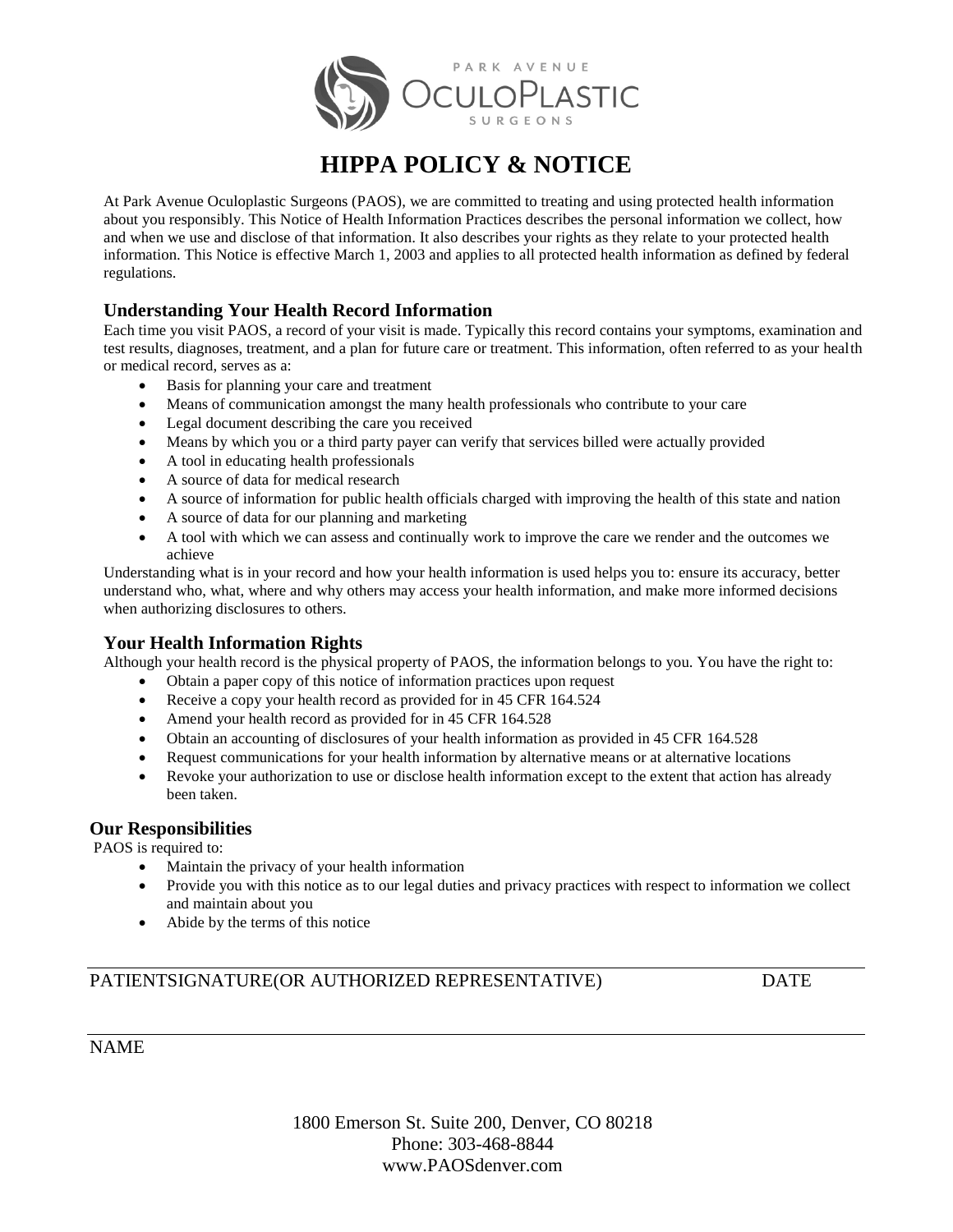

# **HIPPA POLICY & NOTICE**

At Park Avenue Oculoplastic Surgeons (PAOS), we are committed to treating and using protected health information about you responsibly. This Notice of Health Information Practices describes the personal information we collect, how and when we use and disclose of that information. It also describes your rights as they relate to your protected health information. This Notice is effective March 1, 2003 and applies to all protected health information as defined by federal regulations.

### **Understanding Your Health Record Information**

Each time you visit PAOS, a record of your visit is made. Typically this record contains your symptoms, examination and test results, diagnoses, treatment, and a plan for future care or treatment. This information, often referred to as your health or medical record, serves as a:

- Basis for planning your care and treatment
- Means of communication amongst the many health professionals who contribute to your care
- Legal document describing the care you received
- Means by which you or a third party payer can verify that services billed were actually provided
- A tool in educating health professionals
- A source of data for medical research
- A source of information for public health officials charged with improving the health of this state and nation
- A source of data for our planning and marketing
- A tool with which we can assess and continually work to improve the care we render and the outcomes we achieve

Understanding what is in your record and how your health information is used helps you to: ensure its accuracy, better understand who, what, where and why others may access your health information, and make more informed decisions when authorizing disclosures to others.

### **Your Health Information Rights**

Although your health record is the physical property of PAOS, the information belongs to you. You have the right to:

- Obtain a paper copy of this notice of information practices upon request
- Receive a copy your health record as provided for in 45 CFR 164.524
- Amend your health record as provided for in 45 CFR 164.528
- Obtain an accounting of disclosures of your health information as provided in 45 CFR 164.528
- Request communications for your health information by alternative means or at alternative locations
- Revoke your authorization to use or disclose health information except to the extent that action has already been taken.

### **Our Responsibilities**

PAOS is required to:

- Maintain the privacy of your health information
- Provide you with this notice as to our legal duties and privacy practices with respect to information we collect and maintain about you
- Abide by the terms of this notice

### PATIENTSIGNATURE(OR AUTHORIZED REPRESENTATIVE) DATE

### NAME